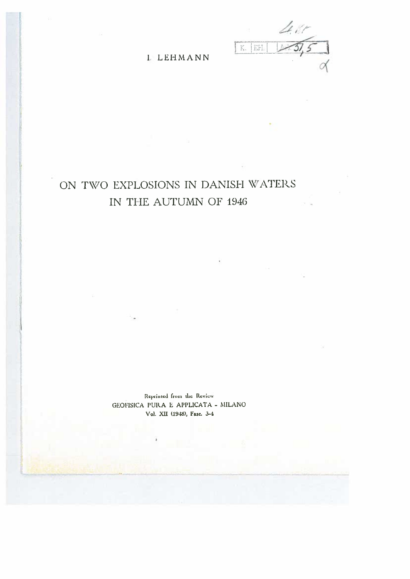$K.$   $E.H.$ 

**I. LEHMANN** 

## ON TWO EXPLOSIONS IN DANISH WATERS IN THE AUTUMN OF 1946

Reprinted from the Review GEOFISICA PURA E APPLICATA - MILANO Vol. XII (1948), Fasc. 3-4

.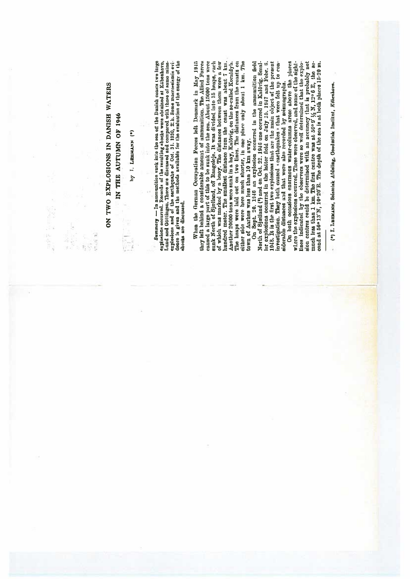| 月度<br>18<br>日本<br>日本 | ON TWO EXPLOSIONS IN DANISH WATERS<br>IN THE AUTUMN OF 1946<br>by I. LEBMANN (*)<br><b>Count</b><br>$\frac{1}{2}$ | Semmary $-$ In animumition sunk into the sea off the Daniah constative or large explosions occurred. Records of the resulting shocks were obtained at Kibenhavn, Lund and Göttingen. These are discussed and compared with th<br>shooks are discussed. | When the German Occupation Forces lett Denmark in May 1945<br>they left behind a considerable amount of ammunition. The Allied Porces caused a large part of this to be sunk into the sea. About 15000 tons were sunk North of Sjælland, of Rangeleje. It was divided into 15 heapp, each of<br>Another 20000 tons were sunk in a bay, Kalovig, on the so-called Koraldyb.<br>The heaps were laid out on two lines. The distances from the coasts on<br>either side were here much shorter, in one place only about 1 km. The<br>North of Sjælland (*) and on Oct. 22. 1946 one occurred in Kalövig. Smal-<br>On both occasions enormous water-columns arese above the places<br>witere the explosions occurred. These were observed, and some of the sight-<br>sion contres could be determined with an accuracy that is probably not much less than 1 km. The first centre was at 56° 9' $\frac{1}{2}$ N, 12° 6 E, the second at 56° 13' N, 10°20' E. The depth of the second at 56° 13' N, 12°<br>On Sept. 20. 1946 an explosion occurred in the annumition field<br>1948. It is the first two explosions that are the main object of the present<br>investigation. They both caused carthquakes a that were felt up to con-<br>lines indicated by the observers were so well determined that the explo-<br>ler explosions occurred in the latter field on July 15. 1947 and Febr. 6.<br>aiderable distances and that were also recorded by scismographs.<br>town of Aarhus was less than 10 km away. | (*) I. Lumanns, Seismisk Afdeling, Geodmitsk Institut, Köbenhavn. |
|----------------------|-------------------------------------------------------------------------------------------------------------------|--------------------------------------------------------------------------------------------------------------------------------------------------------------------------------------------------------------------------------------------------------|----------------------------------------------------------------------------------------------------------------------------------------------------------------------------------------------------------------------------------------------------------------------------------------------------------------------------------------------------------------------------------------------------------------------------------------------------------------------------------------------------------------------------------------------------------------------------------------------------------------------------------------------------------------------------------------------------------------------------------------------------------------------------------------------------------------------------------------------------------------------------------------------------------------------------------------------------------------------------------------------------------------------------------------------------------------------------------------------------------------------------------------------------------------------------------------------------------------------------------------------------------------------------------------------------------------------------------------------------------------------------------------------------------------------------------------------------------------------------------------------------------|-------------------------------------------------------------------|
|                      |                                                                                                                   |                                                                                                                                                                                                                                                        |                                                                                                                                                                                                                                                                                                                                                                                                                                                                                                                                                                                                                                                                                                                                                                                                                                                                                                                                                                                                                                                                                                                                                                                                                                                                                                                                                                                                                                                                                                          |                                                                   |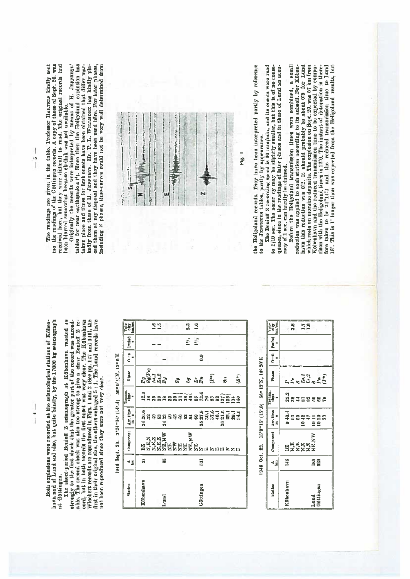Both explosions were recorded at the scismological stations of Köbenhavn and of Lund and also, but quite faintly, by the 17000 kg seismograph at Göttingen.

The short-period Benioff Z scientograph at Köbenhavn reacted so<br>strongly to the first shock that the greator part of the record was unreadable. The second shock was also too strong to give a clear Benioff Z record, but in both records the first onset was very clear. The Köbenhavn Wiechert records are reproduced in Figs. 1 and 2 (See pp. 147 and 149), the first in their original size, the others enharged 5 : 1. The Lund records not heen reproduced since they were not very clear.

| Ľ,<br>j               |
|-----------------------|
| $\frac{5}{2}$         |
| ż<br>ś                |
| ¢<br>50e              |
|                       |
|                       |
| $1-5$                 |
| ន្តុ                  |
| the cost of<br>ï<br>þ |
| 1946<br>í             |

| <b>Station</b> | ⊲₫            | Component | $\frac{1}{n}$             | Traum.<br><sup>11me</sup> | Phase                               |              | $0 - 0$ Period              | Valse<br>elipe<br>Im <i>i</i> ne |
|----------------|---------------|-----------|---------------------------|---------------------------|-------------------------------------|--------------|-----------------------------|----------------------------------|
| Köbenlavn      | ធ             |           | 굻                         |                           |                                     |              |                             |                                  |
|                |               |           | e<br>88988999883888859888 |                           | Paris<br>Ratis<br>Paris             |              |                             |                                  |
|                |               |           |                           |                           |                                     |              |                             |                                  |
|                |               |           |                           |                           |                                     |              |                             | 99                               |
| Laund          | 56            |           | $\vec{a}$                 |                           |                                     |              |                             |                                  |
|                |               |           |                           |                           |                                     |              |                             |                                  |
|                |               |           |                           |                           |                                     |              |                             |                                  |
|                |               |           |                           |                           | <b>8</b> 5<br>5<br>5<br>5<br>5<br>5 |              |                             |                                  |
|                |               |           |                           |                           |                                     |              |                             |                                  |
|                |               |           |                           |                           |                                     |              |                             | 2.3                              |
|                |               |           |                           |                           |                                     |              | $\frac{1}{2}$ $\frac{1}{2}$ | $\mathbb{E}$                     |
| iditingen      | $\frac{1}{2}$ |           | 55                        |                           |                                     | $\ddot{a}$ . |                             |                                  |
|                |               |           |                           |                           |                                     |              |                             |                                  |
|                |               |           |                           |                           | $\widehat{\mathbf{g}}$              |              |                             |                                  |
|                |               |           |                           |                           |                                     |              |                             |                                  |
|                |               |           | $\frac{1}{20}$            |                           | š                                   |              |                             |                                  |
|                |               |           |                           |                           |                                     |              |                             |                                  |
|                |               |           |                           |                           |                                     |              |                             |                                  |
|                |               |           |                           |                           | $(\mathcal{S}^+)$                   |              |                             |                                  |

| 20°E        |  |
|-------------|--|
| ë           |  |
|             |  |
| EX.FI       |  |
| នឹ          |  |
|             |  |
| e.<br>G     |  |
|             |  |
|             |  |
|             |  |
|             |  |
| și<br>Si    |  |
| g           |  |
|             |  |
| <b>NUIL</b> |  |
|             |  |

| <b>Biallon</b> | ⋖⋢            | Component                                          | $\frac{\Delta r}{m}$ , time | ranum.<br>tlme          | <b>Plusies</b>                                                                                                                                                                                                                                                                                                                        | $0 - 1$ Period | valo-<br>ether<br>History |
|----------------|---------------|----------------------------------------------------|-----------------------------|-------------------------|---------------------------------------------------------------------------------------------------------------------------------------------------------------------------------------------------------------------------------------------------------------------------------------------------------------------------------------|----------------|---------------------------|
| Köbenhavn      | 145           |                                                    |                             |                         |                                                                                                                                                                                                                                                                                                                                       |                |                           |
|                |               |                                                    |                             |                         |                                                                                                                                                                                                                                                                                                                                       |                | 33                        |
|                |               |                                                    |                             |                         |                                                                                                                                                                                                                                                                                                                                       |                |                           |
|                |               | BZ<br>  N.E.<br>  N.Z<br>  N.Z<br>  N.Z.<br>  N.Z. |                             |                         |                                                                                                                                                                                                                                                                                                                                       |                |                           |
|                |               |                                                    |                             |                         |                                                                                                                                                                                                                                                                                                                                       |                | <b>SH</b>                 |
| Lund           |               |                                                    |                             |                         |                                                                                                                                                                                                                                                                                                                                       |                |                           |
|                | <u>នីខ្លី</u> |                                                    | -<br>98894188<br>- 99       | ត្ត<br>តួនូវឯន្តនិនិន្ត | $\begin{bmatrix} 1 & 1 & 1 \\ 1 & 1 & 1 \\ 1 & 1 & 1 \\ 1 & 1 & 1 \\ 1 & 1 & 1 \\ 1 & 1 & 1 \\ 1 & 1 & 1 \\ 1 & 1 & 1 \\ 1 & 1 & 1 \\ 1 & 1 & 1 \\ 1 & 1 & 1 \\ 1 & 1 & 1 \\ 1 & 1 & 1 \\ 1 & 1 & 1 \\ 1 & 1 & 1 \\ 1 & 1 & 1 \\ 1 & 1 & 1 \\ 1 & 1 & 1 \\ 1 & 1 & 1 \\ 1 & 1 & 1 \\ 1 & 1 & 1 \\ 1 & 1 & 1 \\ 1 & 1 & 1 \\ 1 & 1 & $ |                |                           |
|                |               |                                                    |                             |                         |                                                                                                                                                                                                                                                                                                                                       |                |                           |

The readings are given in the table. Professor BanrEizs kindly sent me the readings of the Göttingen records. A copy of those of Sopt. 20, was received here, but they were difficult to read. The original records had been blurred somewhat because skellak was not available.

ł b Originally the records were interpreted by means of H. JENFREYS' tables for near earthquakes <sup>1</sup>). Since then the Heligohand explosion has taken place and times for first onsets have been obtained that differ markedly from those of H. JEPPREYS. Mr. P. L. WILLMORE has kindly placed them at my disposal and they have been used bere. For later phases, including  $\kappa$  phases, time-curves could not be very well determined from



the Heligoland records. They have been interpreted partly by reference to the JEPPERTS tables, partly by appearance.

The Benioff Z recording speed is 60 mm/min, and its onsets were read to  $1/10$  sec. The accur cy may be slightly smaller, but this is of no consequence, since in the readings of later phases and in those of Lund an accuracy of 1 sec. can hardly be claimed.

Before the Heligoland transmission times were combined, a small<br>reduction was applied to each station according to its subsoil. For Köben-<br>havn this reduction was 0.2. It should probably be about 0.5 for Lund<br>which rests o rison with the Heligoland times is 12:0. The instant of deformation is therefore taken to be 24"14" and the reduced transmission time to Land 18. This is 1 longer than was expected from the Heligoland results, but

 $\frac{1}{1}$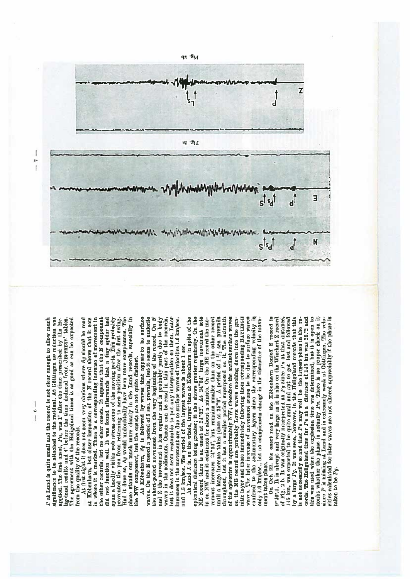P at Lund is quite small and the record is not clear enough to allow much ignificance to be attached to the residual. At Göttingen no reduction was applied. The first onset, Pu, was 1' after the time prescribed by the Heigoland results and 4 before the time deduced from JEPPREYs' tables. The agreement with the Heligoland times is as good as can be expected from the quality of the records.

the other records, but no clear onsets. It appears that the N component did not function well. It was found afterwards that a tiny spider had in where it is marked. There is a corresponding increase of movement in spun a hardly visible web across some of the moving parts. This probably Had it done so, Mg would undoubtedly have been more conspicuous. The phase stands out much more clearly in the Lund records, especially in At first sight it does not seem very obvious where Se should be read at Köbonlarn, but closer inspection of the N record shows that it sets prevented the pen from returning to zero position after the first swing.

the NW component, but the onsets are not quite distinct.<br>At Köbenhavn, Sg is followed by waves that appear to be surface wayes. On the E record a period of 5 sec. prevails, but it seems to underlie out it does not seem reasonable to put any interpretation on them. Later the short-period movement from the very beginning of the record. On N and Z the mevement is less regular and is probably partly due to body waves in the sediments. Onsets can be read in this part of the records, ncreases in the movement are due to surface waves of velocities 1.6 km/sec. and 1.5 km/sec. The period of the largest waves is about 1 sec.

NE record there is an onset at 24"52". At 24"54" large movement sets until a large increase takes place at 25"9". A period of 1<sup>2</sup>/<sub>3</sub> sec. prevails of the epicentre is approximately NW; therefore the earliest surface waves waves. The later increase of movement seems to be due to surface waves confined to the sedimentary layers since the corresponding velocity is At Lund L is, on the whole, larger than at Köbenhavn in spite of the spicentral distance being greater; it also shows greater regularity. On the rement increases 24"54', but remains smaller than on the other record throughout, but it has a smaller period superposed on it. The azimuth nitic layer and those immediately following them corresponding RAYLEIGH only 1.6 km/sec., but no conspicuous change in the character of the movein on NW and it continues for about a minute. On the NE record the moon the NB record are probably LovE waves reaching down into the grament takes place.

record is by a large  $Pg$ . It was seen, however, in the Heligoland records that this this was used when the explosion time was determined, but it is open to doubt whether the phase is actually Pn. There is no proper check on it ince P is missing at Lund and is extremely weak at Göttingen. The velosities calculated for later waves are not altered appreciably if the plase is 0°40'.4. It is abrupt and very large as it is also on the Wiechert Z record of Fig. 2 b. It was originally interpreted as Pq since Pu at that distance, 45 km, was expected to be quite small and apt to get lest and followed is not necessarily so and that Pu may well be the largest phase in the records. The Heligoland time for Pu at a distance of 145 km was 25.23 and On Oct. 22. the enset read on the Köbenhavn Benieff Z aken to be  $Pg$ .



 $\frac{1}{6}$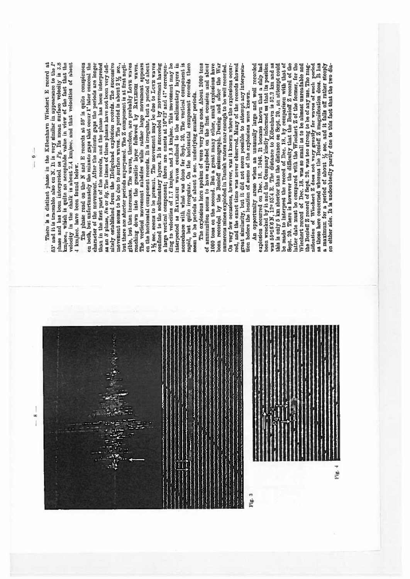phase and has been interpreted as  $Pg$ . Its mean surface velocity is 3.8 km/sec., which is quite an acceptable value in view of the fact that the velocity is the chalk is about  $S$ .4 km/sec. and that velocities of about There is a distinct phase in the Köbenhavn Wiechert E record at 53' and it is traceable also on N. It is very similar in appearance to the P 4 km/sec. have been found below.

than in the first part of the records, and the phase has been interpreted as an S phase, So er Sg. The times of these phases have not been very definitely established from the Heijephad explosion records. The successive on the horizontal component records. It is irregular, but a period of about  $1\frac{1}{2}$  sec. seems to be present. The movement may be due to Love waves confined to the sedimentary layers. It is succeeded by movement having interpreted as RAYLENGH waves confined to the sedimentary layers in accordance with what was done for Sept. 20. The vertical component is rapid, but quite irregular. On the horizontal component recent is seen to be periods The phase read on the N and E records at 59' is quite conspicuous movely concentrate as the same control of the same of the period is about  $2\frac{1}{2}$  sec., movement seems to be due to surface waves. The period is about  $2\frac{1}{2}$  sec., gible, but then increases. The waves, therefore, are probably Lovn waves Å on both, but unfortunately the minute gaps that occur 1' later conceal the character of the movement. After the minute gaps the periods are longer but there are shorter periods superposed. The Z component is at first neglisoon, was also to the grantic layer followed by RayLEGH waves. The vertical movement subsides while rather large movement appears a large vertical component; there are onsets at 10"42" and 47" corresponding to velocities of 1.7 km/sec. and 1.6 km/sec. This movement may

1000 tons on the second. But a great many other, small explosions have been recorded by the Benioff seismograph. During and after the War The explosions here spoken of were very large ones. About 2000 tons of ammunition seems to have exploded on the first occasion and about numerous mines exploded in Danish waters near enough to be well recorded. On very few occasions, however, was it known where the explosions occurred, and the exact time was never observed. Many of the records showed great similarity, but it did not seem possible to attempt any interpretation before the location of some of the orpleions were known.

An opportunity areas when an unusually large and well recorded<br>explosion occurred on Dec. 18, 1946. It became known that a ship had been wrecked by it and the Company kindly informed us that its position was 55-16's N, 12° 53'4 B. The distance to Köbenhavn is 52.2 km and as be made to interpret the record of Dec. 18. by comparison with that of Sept. 20. There is however the difficulty that the Benioff  $Z$  record of the latter date must be compared with the Wiechert Z of the former, for the nification of Wiechert Z does not vary greatly for waves of such period as those here concerned whereas the Benieff Z magnification does. It has a maximum for a period of about  $\frac{1}{2}$  soc. and it falls of rather stooply on either side. It is undoubtedly partly due to this fact that the two diathis is only 5 km shorter than the distance on Sept. 20., an attempt could Wiechert record of Dec. 18, was so small as to be almost unreadable and the Benioff Z record of Sept. 20. was too strong to be of any use. The mag-

Fig. 4

Fig. 3

 $\frac{1}{9}$ .<br>I

> $\alpha$ ı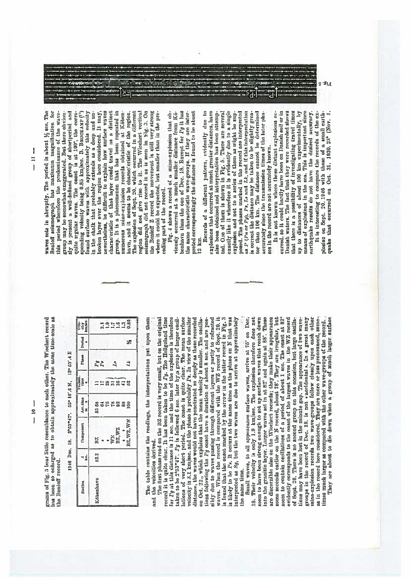$\frac{1}{2}$  $\overline{1}$ 

grams of Fig. 3 lear little resemblance to each other. The Wiechert record ins been so cularged as to obtain approximately the same time-scale as the Benioff record.

1946 Dec. 18. 2<sup>1</sup>53<sup>-17</sup>. 55° 16', 6N, 12° 53', 4E

| Station | ⊲₫   | Component                                                                          | $\frac{\lambda \text{rr. time}}{\text{m}}$ | Lime           | Phase       | $[1] \begin{bmatrix} 1 & 0 & 0 \\ 0 & 0 & 0 \\ 0 & 0 & 0 \\ 0 & 0 & 0 \\ 0 & 0 & 0 \\ 0 & 0 & 0 \\ 0 & 0 & 0 \\ 0 & 0 & 0 & 0 \\ 0 & 0 & 0 & 0 \\ 0 & 0 & 0 & 0 \\ 0 & 0 & 0 & 0 \\ 0 & 0 & 0 & 0 & 0 \\ 0 & 0 & 0 & 0 & 0 \\ 0 & 0 & 0 & 0 & 0 \\ 0 & 0 & 0 & 0 & 0 & 0 \\ 0 & 0 & 0 & 0 & 0 & 0 \\ 0 & 0 & 0 & 0 & 0 & 0 \\ $ | Vela<br>clipee.<br><b>km</b> pee. |
|---------|------|------------------------------------------------------------------------------------|--------------------------------------------|----------------|-------------|---------------------------------------------------------------------------------------------------------------------------------------------------------------------------------------------------------------------------------------------------------------------------------------------------------------------------------|-----------------------------------|
| benhavn | 52.2 | BZ                                                                                 |                                            |                | Pg          |                                                                                                                                                                                                                                                                                                                                 |                                   |
|         |      |                                                                                    | 83FF882<br>6                               | <b>HESESTS</b> |             |                                                                                                                                                                                                                                                                                                                                 |                                   |
|         |      |                                                                                    |                                            |                |             |                                                                                                                                                                                                                                                                                                                                 |                                   |
|         |      |                                                                                    |                                            |                | $L_{\rm s}$ |                                                                                                                                                                                                                                                                                                                                 |                                   |
|         |      |                                                                                    |                                            |                |             |                                                                                                                                                                                                                                                                                                                                 |                                   |
|         |      |                                                                                    |                                            |                |             |                                                                                                                                                                                                                                                                                                                                 |                                   |
|         |      | $\begin{array}{c}\n\bullet \\ \text{W1}\times \\ \text{B2},\text{W2}\n\end{array}$ |                                            |                | Ŕ           | ≭                                                                                                                                                                                                                                                                                                                               | 335938                            |

The table contains the readings, the interpretations put upon them and the velocities derived.

for Pg at this distance is 11 sec. and the time of the explosion is therefore taken to be 2'53"47'.  $Pg$  is followed 6 sec. later by a group of larger csail-<br>lations of very short period. The onset is quite clear. The mean surface<br>velocity is 3.1 km/sec. and the phase is probably  $Pz$ . In view of t waves. When the record is compared with the WZ record of Sept. 20. it is found that the onest marked by the arrow in the latter record in Fig. 3 as ilkely to be  $Px$ . It occurs at the same time as the phase on N that was The first phase read on the BZ record is very small, but on the original record it is quite clear. It has been taken to be  $P_{\mathcal{Y}}$ . The Heligoland time distance, the waves would not have ponetrated so deeply as those recorded sibly due to waves passing through different layors or partly to refracted interpreted as Sg, but the two waves are due to arrive at approximately on Oct. 22., which explains that the mean velocity is smaller. The oscilladons following the  $Pg$  ouset have a duration of about 8 sec. and are posthe same time.

seem to have been strong enough to set up surface waves that reach down into the granitic layer. Larger waves set in at 82° and again at 88°. These are discognition also on the Wichhert records; they make their appearance some seconds earlier on the N record, about 78. They are irregular, but of Sopt. 20. There is no second group on this occasion, but large oscilla-<br>tions may have been lost in the minute gap. The appearance of two wave-Small waves, to all appearance surface waves, arrive at 75' on Dec. 18. Their velocity is only 1.9 km/sec. The explosion therefore does not evidently corresponds to the onset of the largest waves in the WZ record seem to contain oscillations of a period of about 1 sec. The onset at 82° groups in the record of Dec. 18. is not enceldental . In a great many mine-explosion records two wave-groups follow closely upon each other as in the record here considered. They are more or less pronounced, some-They are about to die down when a group of much larger surface times much larger as compared with the other wave-groups of the record.

waves sets in abruptly. The period is about 1/2 sec. The Senioff scismograph has maximum magnification for

ound surface waves with approximately this velocity characteristic of that layer could travel as a distinct group. It is a pleonomenon that has been repeated in this period wherefore the predominance of the wavegroup may be somewhat exaggerated. But there obvioualy is present a well-defined group of ahortperiod and quite regular waves. The onset is at 109', the corresponding velocity being 0.85 km/sec. B. BROCKAMP (11) n the chalk that probably extends as a deep and unnevertheless, be difficult to explain how surface waves havn, and it seems to be characteristic of the region.<br>The explosion of Sept. 20. which occurred in a different soismograph did not record it as is seen in Fig. 3. On the Benioff Z record the movement is still very strong proken layer over the region here considered. It may, numerous mine-explosion records obtained at Köbenregion did not give rise to it. The Wiechert vertical where it could be expected, but smaller than in the preceding part of the record.

protod correspondingly the distance is found to be about the same characteristic wave-groups. If they are inter-Fig. 4 shows a record of a mine-explosion that obbenhavn than the one of Dec. 18. Except for Pg it has viously occurred at a much smaller distance from K0-12 km.

Records of a different pattern, evidently due to posed. The phases marked in the record are interpreted is  $P$  ( $P$ n or  $Pg$ ),  $P*_t L^s$  and  $Lk$ , and if this interpretation is correct the distance may be taken to be slightly greaexplosions that occurred at much greater distances, have ted. One of them is shown in Fig. 5. There are several exactly like it wherefore it is evidently due to a single also been obtained and interpretation has been attempexplesion and not to a series of them as might be supter than 100 km. The distance cannot be determined accurately since the transmission times of the later pluses in the record are not accurately known.

curred, so it could hardly lusve been on Danish soil or in means of explosions in the sea. This is important since It is interesting to compare the records of the ex-It is not known where these distant explosions oc-Danish waters. The fact that they were recorded shows that there is a possibility of investigating travel times up to distances of about 100 km experimentally, by arthquake results do not have the desired accuracy.

plosion on Sopt. 20.1946 with those of a small earthquake that occurred on Oct. 31. 1930. 23<sup>5</sup> (Nov. 1.

 $\begin{array}{c} \end{array}$  $\overline{1}$  $\overline{1}$   $6.969$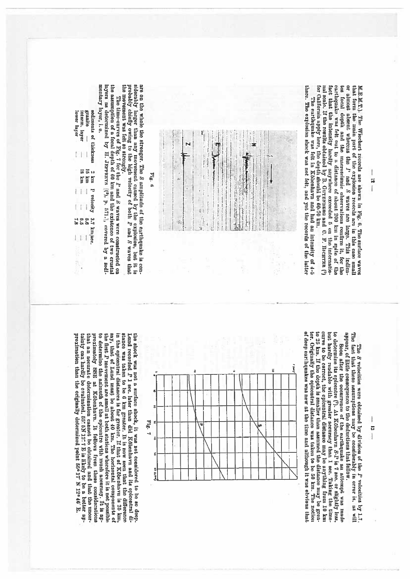carthquake was felt out to a distance of about 200 km in spite of the or almost absent whereas the P and S waves are large. This indica-M.E.M.T.). The Wiechert records are shown in Fig. 6. The surface waves nal scale. If the results obtained by B. GurENBERG and C. F. Recurren (!) tes focal depth and the macroseismic observations confirm it, that form the main part of the explosion records are in this case small for Galifornia apply lenc, the depth should be 60-70 km. fact that the intensity hardly anywhere exceeded 5 on the internationor the

there. The explosion shock was not felt, and yet the records of the latter The earthquake was felt in Köbenhavn and had an intensity of 4-5



siderably herger than any movement caused by the explosion, but it is is probably chiefly owing to the high velocity of both L and S waves that are on the whole the stronger. The S amplitude of the enrihquake is conthe movement was felt so strongly.

 $\mathbf{Fig.}$ fi

mentary layer, 1. e. the assumption of a focal depth of 60 km and the existence of two crustal layers as determined by El. JERFREYS  $\{N_1, N_2, 571\}$ , covered by a sedi-The time-curves of Fig. 7 for the P and S waves were constructed on

| <b>TeAL</b> | <b>LIGTIP</b> |   |                      |
|-------------|---------------|---|----------------------|
|             |               |   |                      |
|             |               |   |                      |
|             |               |   | an<br>Shiri<br>Shiri |
|             |               | I |                      |
|             |               |   |                      |
|             | e.o           |   | e<br>Li              |
|             |               |   |                      |
|             |               |   |                      |

appear, of little consequence to the deductions that follow. The  $S$  velocities were obtained by division of the  $P$  velocities by 1.7.1. The fact that these assumptions may be considerably in error is, as will

I

5  $\overline{1}$ 

 $^{*}$  Soon after the occurrence of the earthquake an attempt was made to determine its epicentre (?). At Köbenhavn  $S$ -P is 7 sec. or slightly less, but hardly readable with greater accuracy than 1 sec. Or slightly less, of deep earlinguakes was new at the time and although it was obvious that curve to be correct, the epicentral distance may be anything from 10 km tor. Originally the opicentral distance was taken to be 50 km. The notion to 25 km. If the depth is smaller than assumed the distance may be grea-



tainty can hardly be ovaluated. 55: 5N 12: 7 E is likely to be a better approximation than the originally determined point 55° 17' N 12° 46' E. to determine the azimuth of the epicentre with much accuracy. It is apsay, that of Lund must be about 40 km. The horizontal components of in the epicentral distances is far greator. If that of Köbenhavn is 25 km. proximately SSE at Köbenhavn. It follows from these considerations the first P movement are sinall at both stations whorefore it is not possible stance was taken to be 6 km greater. It is now seen that the difference the shock was not a surface shock, it was not considered to be so deep. Land recorded P I sec. later than did Köbenhavn and its epicentral dithat an accurate determination cannot be obtained and that the uncer-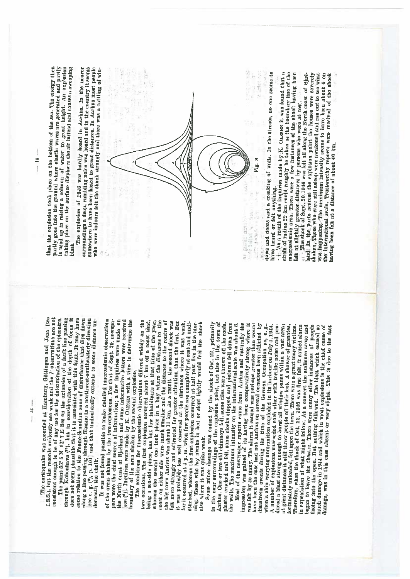| The earthquake was recorded at Hamburg, Göttingen and J <sub>o</sub> .<br>S.S.), but the records evidently are weak and the <i>P</i> observations. |  |
|----------------------------------------------------------------------------------------------------------------------------------------------------|--|
|                                                                                                                                                    |  |
|                                                                                                                                                    |  |
|                                                                                                                                                    |  |
|                                                                                                                                                    |  |
|                                                                                                                                                    |  |
|                                                                                                                                                    |  |
|                                                                                                                                                    |  |

Ĩ Ė J 108 (600

istent enough to be of any use for the determination of the epicontre.<br>The point 58: 5 N 12: 7 E lies on the extension of a fault line passing through Köbenhavn (<sup>13</sup>), but in consideration of the depth of focus it does not seem plausible that it is associated with this fault. It may have some relation to the Fenno-Scandian zone of disturbance that dips down along a line passing through Skuane in a northwest-southeasterly direction see e.  $g$ ,  $(\theta)$ , p. 104 and that undoubtedly extends to some distance underleastly direction

It was not found possible to make detailed macroseismic observations of the areas shaken by the two explosions. For that of Sept. 20, newspapers were the chief source of information; a few inquiries were made on the North ceast of Sjælland and some informative letters were received see (9). Inquiries were made by K. OLESEN with a view to determine the oundary of the area shaken by the second explosion.

The conditions for macroscismic observations differed widely on the two occasions. The first explosion occurred about 7 km off a coast that, whereas the second one took place in a bay where the distances to the being a sea-side place, has but few inhabitants at that time of the year. coast on cither side were numi smaller and the distance to the centre of the big town Anrhus was about 11 km. As a result the second shock was felt more strongly and attracted far greater attention than the first. But sturbed, whereas the first explosion occurred at half past five in the morning. Those who hy awake in bed or slept lightly would feel the shock was probably less well observed at the distances where it was weak, for it occurred at 4 p. m. when few people are completely at rest and undialso where it was quite weak.

Some minor dannage was caused by the sheek of Oct. 22, primarily in the near surroundings of the explosion point, but also in the town of Aarlus. One or two old chimneys fell, some tiles were thrown off the roofs, plaster cracked and fell, some clocks stopped and pictures fell down from

Most of the newspaper reports came from Aarlus and naturally the the walls. The maximum intensity on the international scale was about 6. impression was gained of its having been comparatively strong where it was folt by se many. The alarm it caused was perhaps greater than would have been the case had not Anrhus on several occasions been afflicted by A number of explosions succeeded each other with terrific noise and predisastrous events during the time of the German Occupation as, e.g., when a ship carrying ammunition exploded in its invibour on July 4, 1944. duced a blast strong enough to burst all window panes within a vast area; at great distances it still threw people off their fect. A shower of granates, fortunately unloaded, fell upon the town. There were a great many victims. Therefore, when the shock of Oct. 22, 1940 was first felt, it caused alarm in expectation of what might follow. At a concert the audience areas and began to leave the theatre. There were many other instances of people much dannage in 1944 and which in most explosions is the chief cause of damage, was in this case absent or very slight. This is due to the fact fleeing into the open. But nothing followed. The blast which canaed so

is used up in raising a column of water to great height. An expositon taking place on the surface displaces the air instead and causes a sweeping that the explosion took place on the bottom of the sea. The energy then partly goes into the ground where shatic waves are generated and partly blast

 $-15$ 

The explosion of 1946 was lardly leard in Aarhus. In the nearer surroundings a deep, runbling noice was heard and in the country it seems somewhere to have been leard to great distances. In Aarhus most people who were indoors felt the shock strongly and there was a rattling of win-



dows and doors and a creaking of walls. In the streets, no one seems to have heard or felt anything.

As a result of the inquiries made by K. OLESEN it was found that a circle of radius 22 km could roughly be taken as the boundary line of the macrossismic area. There were a fow instances of the shock laying been falt at slightly greator distances by persons who were at rest.

shaken, These who were still askept were awakened and ran out to see what was happening. The maximum intensity seems to have been about 6 on the international scale. Trustworthy reports were received of the shock naving been felt at a distance of about 40 km.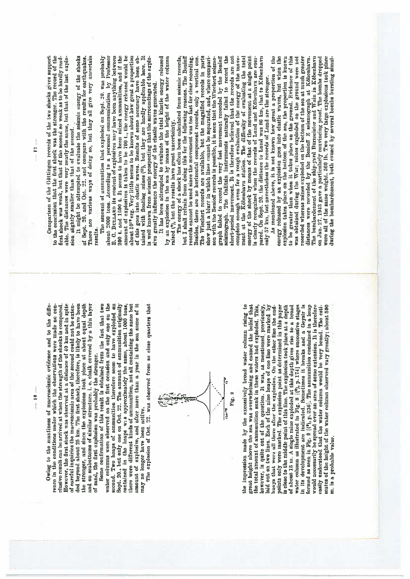Owing to the scantiness of macroscismic evidence and to the difference in the conditions under which the observations were made no conclusive result can be arrived at when the strugth of the shocks is compared. However, the first shock was observed at a distance of 40 km and in spite of careful inquiries the mucroscismic area of the second could not be extended beyond about 25 km. The first shock, therefore, is likely to have been the stronger, and since the explosions took place at about equal depth and on seabottoms of similar structure. i. c. chalk covered by a thin laver sand, the first explosion was probably the stronger.<br>Some confirmation of this result is obtained from the fact that two

뉭

 $\frac{1}{1}$ 

amount of explosive, and after more than a year in the sea some of it water columns were observed on the first occasion and only one on the second. Two heaps of ammunition therefore seem to have exploded on Sept. 20., but only one on Oct. 22. The amount of ammunition originally there were different kinds of ammunition, not all containing the same but contained in the heaps was approximately the same, about 1000 tons. may no longer have been active.

The explosion of Oct. 22, was observed from so close quarters that



water column as illustrated in Fig. 8  $(1^9)$ , p. 174] where successive stages in its development are indicated. Sometimes it breaks and a Geysir is formed as seen in Fig. 9 ((?), p. 236). The amnumition contained in a heap the impression made by the excessively broad water column rising to great height above the sea was overwhelming and caused the belief that the total amount of ammunition sunk in these waters had exploded. This, taid out on two lines. Each of the nine heaps of one line were marked by points only were marked. The explosion point as determined in this paper is close to the middle point of this line. The explosion took place at a depth of about 15 m. A single mine exploded at this depth gives rise to a broad would necessarily be spread over an area of some extension. It is therefore mates of the height of the water column observed vary greatly; about 500 however, is quite out of the question. It was, as mentioned previously, easily understood that the water column would be very broad. The estihuoys that were all there after the explosion. On the other line the endm. is a probable value.

Comparison of the Göttingen records of the two shocks gives support to the conclusion that the first shock was the stronger. The record of the first shock was woak, but that of the second se weak as to be hardly readable. The distances were very nearly the same, but that of the last explosion slightly smaller than that of the second.

sugary summer value can be seen assessed.<br>It might be attempted to evaluate the acianic energy of the ahocks There are various ways of doing so, but they all give very uncertain of Sept. 20, and Oct. 22, and compare with the results for earthquakes. results.

about 2000 tons. According to a personal communication by Professor E. C. BULLARD its content of explosives may have been anything between amount of explosives is taken to be 700 t., the energy released would be about 10<sup>18</sup> erg. Very little seems to be known about how great a proportion tained with floating mines (11), but they are hardly applicable here. It The amount of ammunition that exploded on Sept. 20. was probably 200 t. and 1500 t. It seems to have been mixed ammunition, and if the of this goes into clastic waves. Results of some accuracy have been obis well known from scismic prospecting that the surroundings of the explosive greatly influence the energy of the clastic waves generated.

It has been attempted to evaluate the total kinetic energy released by an explosion in the sea by means of the height of the water column raised (\*), but the results have great uncertainty.

gianta contracts in the different international metallity failed to record the short-period movement. It is therefore believed that the records are not complete enough even for a rough evaluation of the energy of the movem The Wiechert records are available, but the magnified records in parts show just a blurr in which lines cannot be separated, and, where comparienergy of the sheck by means of that of the movement at a single point is clearly recognized when the records of Lund and Kölenhavn are compared. On Sept. 20. the distance to Lund was 86 km, that to Köbenhavn The energy of a shock has often been calculated from seismic records, but I shall refrain from doing this for the following reasons. The Benioff Besides, there are no horizontal component records, only a vertical one. son with the Benioff records is possible, it is seen that the Wicelert sciencgraph failed to record the very fast movement recorded by the Benioff records cannot be used since the movement was too fast for clear recording. only 57 km, but nevertheless the records of Lund are the stronger.

As mentioned above, it is not known how great a proportion of the on Jan. 27. 1943 gave a particularly convincing proof. The bombs dropped were all of the same weight, 500 lb. Two very large explosions took place onergy released by an explosion goes into elastic waves, but when the explosion takes place on the bottom of the sea, the proportion is known to be greater than when it takes place on the greand. Evidence of this was obtained during the War; mines exploded on the ground were not recorded whereas mines exploded on the bottom of the sea at much greater distances were recorded by the Benioff Z seismograph at Köbenhavn. The bombardement of the ship-yard Burneister and Wain in Köbenhavn luring the bombardement, both caused by several bombs bursting sinul-

 $-17 - -$